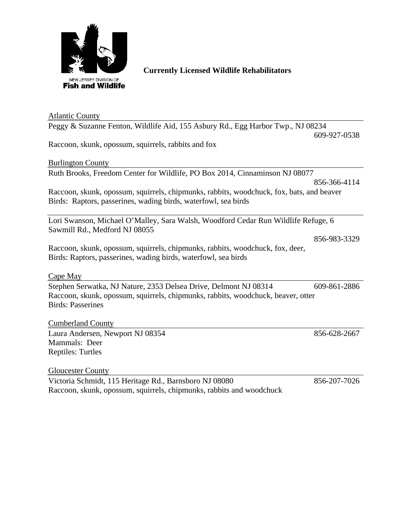

## **Currently Licensed Wildlife Rehabilitators**

| <b>Atlantic County</b>                                                                   |              |  |
|------------------------------------------------------------------------------------------|--------------|--|
| Peggy & Suzanne Fenton, Wildlife Aid, 155 Asbury Rd., Egg Harbor Twp., NJ 08234          |              |  |
|                                                                                          | 609-927-0538 |  |
| Raccoon, skunk, opossum, squirrels, rabbits and fox                                      |              |  |
| <b>Burlington County</b>                                                                 |              |  |
|                                                                                          |              |  |
| Ruth Brooks, Freedom Center for Wildlife, PO Box 2014, Cinnaminson NJ 08077              |              |  |
|                                                                                          | 856-366-4114 |  |
| Raccoon, skunk, opossum, squirrels, chipmunks, rabbits, woodchuck, fox, bats, and beaver |              |  |
| Birds: Raptors, passerines, wading birds, waterfowl, sea birds                           |              |  |
| Lori Swanson, Michael O'Malley, Sara Walsh, Woodford Cedar Run Wildlife Refuge, 6        |              |  |
| Sawmill Rd., Medford NJ 08055                                                            |              |  |
|                                                                                          | 856-983-3329 |  |
| Raccoon, skunk, opossum, squirrels, chipmunks, rabbits, woodchuck, fox, deer,            |              |  |
| Birds: Raptors, passerines, wading birds, waterfowl, sea birds                           |              |  |
|                                                                                          |              |  |
| Cape May                                                                                 |              |  |
| Stephen Serwatka, NJ Nature, 2353 Delsea Drive, Delmont NJ 08314                         | 609-861-2886 |  |
| Raccoon, skunk, opossum, squirrels, chipmunks, rabbits, woodchuck, beaver, otter         |              |  |
| <b>Birds: Passerines</b>                                                                 |              |  |
|                                                                                          |              |  |
| <b>Cumberland County</b>                                                                 |              |  |
| Laura Andersen, Newport NJ 08354                                                         | 856-628-2667 |  |
| Mammals: Deer                                                                            |              |  |
| <b>Reptiles: Turtles</b>                                                                 |              |  |
|                                                                                          |              |  |
| <b>Gloucester County</b>                                                                 |              |  |

Victoria Schmidt, 115 Heritage Rd., Barnsboro NJ 08080 856-207-7026 Raccoon, skunk, opossum, squirrels, chipmunks, rabbits and woodchuck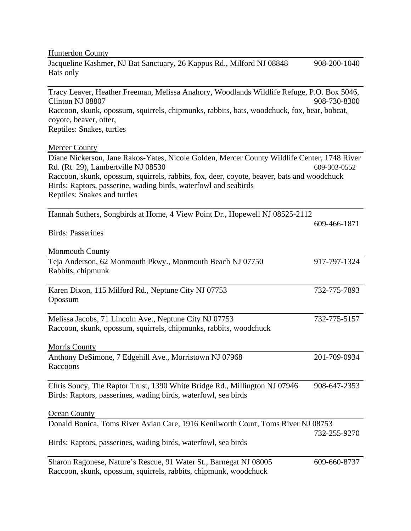| <b>Hunterdon County</b>                                                                                                                                                                                                                                                                                                             |              |
|-------------------------------------------------------------------------------------------------------------------------------------------------------------------------------------------------------------------------------------------------------------------------------------------------------------------------------------|--------------|
| Jacqueline Kashmer, NJ Bat Sanctuary, 26 Kappus Rd., Milford NJ 08848<br>Bats only                                                                                                                                                                                                                                                  | 908-200-1040 |
| Tracy Leaver, Heather Freeman, Melissa Anahory, Woodlands Wildlife Refuge, P.O. Box 5046,<br>Clinton NJ 08807                                                                                                                                                                                                                       | 908-730-8300 |
| Raccoon, skunk, opossum, squirrels, chipmunks, rabbits, bats, woodchuck, fox, bear, bobcat,<br>coyote, beaver, otter,                                                                                                                                                                                                               |              |
| Reptiles: Snakes, turtles                                                                                                                                                                                                                                                                                                           |              |
| <b>Mercer County</b>                                                                                                                                                                                                                                                                                                                |              |
| Diane Nickerson, Jane Rakos-Yates, Nicole Golden, Mercer County Wildlife Center, 1748 River<br>Rd. (Rt. 29), Lambertville NJ 08530<br>Raccoon, skunk, opossum, squirrels, rabbits, fox, deer, coyote, beaver, bats and woodchuck<br>Birds: Raptors, passerine, wading birds, waterfowl and seabirds<br>Reptiles: Snakes and turtles | 609-303-0552 |
| Hannah Suthers, Songbirds at Home, 4 View Point Dr., Hopewell NJ 08525-2112                                                                                                                                                                                                                                                         |              |
| <b>Birds: Passerines</b>                                                                                                                                                                                                                                                                                                            | 609-466-1871 |
| <b>Monmouth County</b>                                                                                                                                                                                                                                                                                                              |              |
| Teja Anderson, 62 Monmouth Pkwy., Monmouth Beach NJ 07750<br>Rabbits, chipmunk                                                                                                                                                                                                                                                      | 917-797-1324 |
| Karen Dixon, 115 Milford Rd., Neptune City NJ 07753<br>Opossum                                                                                                                                                                                                                                                                      | 732-775-7893 |
| Melissa Jacobs, 71 Lincoln Ave., Neptune City NJ 07753<br>Raccoon, skunk, opossum, squirrels, chipmunks, rabbits, woodchuck                                                                                                                                                                                                         | 732-775-5157 |
| <b>Morris County</b>                                                                                                                                                                                                                                                                                                                |              |
| Anthony DeSimone, 7 Edgehill Ave., Morristown NJ 07968<br>Raccoons                                                                                                                                                                                                                                                                  | 201-709-0934 |
| Chris Soucy, The Raptor Trust, 1390 White Bridge Rd., Millington NJ 07946<br>Birds: Raptors, passerines, wading birds, waterfowl, sea birds                                                                                                                                                                                         | 908-647-2353 |
| <b>Ocean County</b>                                                                                                                                                                                                                                                                                                                 |              |
| Donald Bonica, Toms River Avian Care, 1916 Kenilworth Court, Toms River NJ 08753                                                                                                                                                                                                                                                    | 732-255-9270 |
| Birds: Raptors, passerines, wading birds, waterfowl, sea birds                                                                                                                                                                                                                                                                      |              |
| Sharon Ragonese, Nature's Rescue, 91 Water St., Barnegat NJ 08005<br>Raccoon, skunk, opossum, squirrels, rabbits, chipmunk, woodchuck                                                                                                                                                                                               | 609-660-8737 |